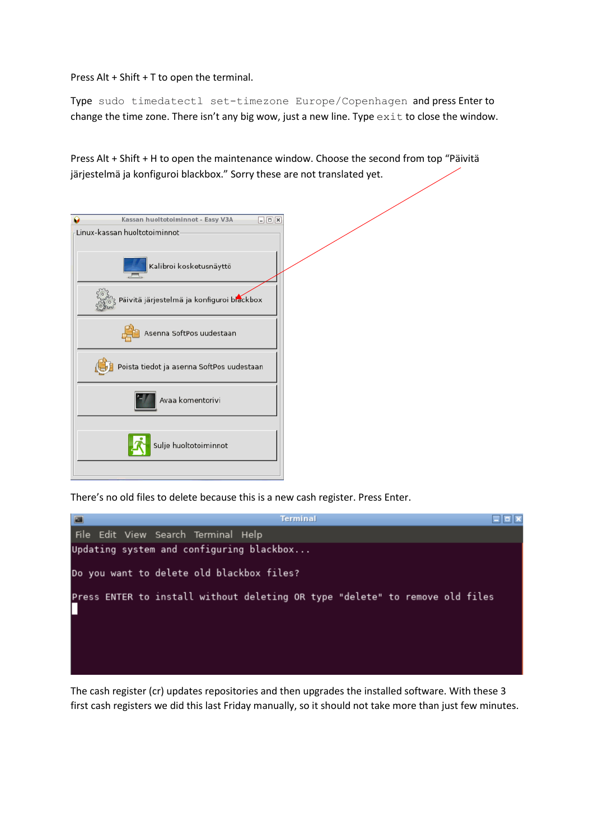Press Alt + Shift + T to open the terminal.

Type sudo timedatectl set-timezone Europe/Copenhagen and press Enter to change the time zone. There isn't any big wow, just a new line. Type  $ext{exit}$  to close the window.

Press Alt + Shift + H to open the maintenance window. Choose the second from top "Päivitä järjestelmä ja konfiguroi blackbox." Sorry these are not translated yet.



There's no old files to delete because this is a new cash register. Press Enter.



The cash register (cr) updates repositories and then upgrades the installed software. With these 3 first cash registers we did this last Friday manually, so it should not take more than just few minutes.